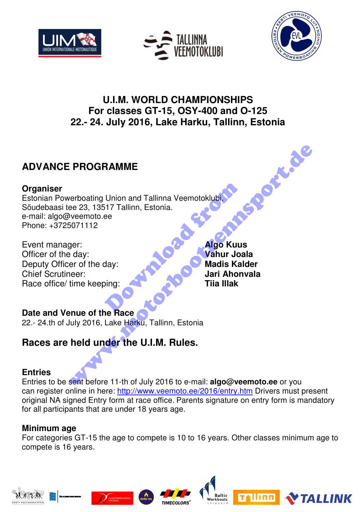





# **U.I.M. WORLD CHAMPIONSHIPS For classes GT-15, OSY-400 and O-125 22.- 24. July 2016, Lake Harku, Tallinn, Estonia**

# **ADVANCE PROGRAMME**

# **Organiser**

Estonian Powerboating Union and Tallinna Veemotoklubi, Sõudebaasi tee 23, 13517 Tallinn, Estonia. e-mail: algo@veemoto.ee Phone: +3725071112 Union and Tallinna Veemotoklubi<br>
ee<br>
ee<br>
day:<br>
day:<br>
Madis Kal<br>
Jari Ahon<br>
Tiia Illak<br>
Pace PROGRAMME<br>
verboating Union and Tallinna Veemotoklubit<br>
were 23, 13517 Tallinn, Estonia.<br>
Jero complete:<br>
Jero complete:<br>
day:<br>
ady:<br>
ady:<br>
adis Kalder<br>
valuar Ahonvala<br>
multiple keeping:<br>
Tiia Illak<br>
multiple keeping:<br>
an

Event manager: **Algo Kuus** Officer of the day: **Vahur Joala** Deputy Officer of the day: **Madis Kalder** Chief Scrutineer: **Jari Ahonvala** Race office/ time keeping: **Time is a strategier of the United States** Time IIIak

# **Date and Venue of the Race**

22.- 24.th of July 2016, Lake Harku, Tallinn, Estonia

# **Races are held under the U.I.M. Rules.**

# **Entries**

Entries to be sent before 11-th of July 2016 to e-mail: **algo@veemoto.ee** or you can register online in here: http://www.veemoto.ee/2016/entry.htm Drivers must present original NA signed Entry form at race office. Parents signature on entry form is mandatory for all participants that are under 18 years age.

# **Minimum age**

For categories GT-15 the age to compete is 10 to 16 years. Other classes minimum age to compete is 16 years.

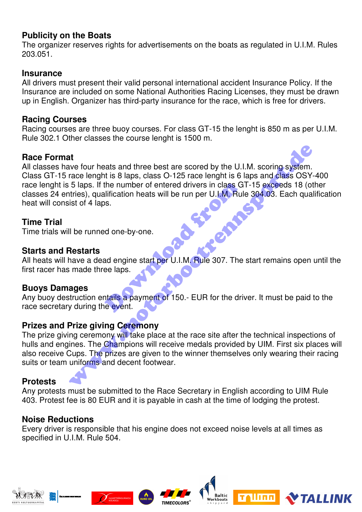#### **Publicity on the Boats**

The organizer reserves rights for advertisements on the boats as regulated in U.I.M. Rules 203.051.

#### **Insurance**

All drivers must present their valid personal international accident Insurance Policy. If the Insurance are included on some National Authorities Racing Licenses, they must be drawn up in English. Organizer has third-party insurance for the race, which is free for drivers.

#### **Racing Courses**

Racing courses are three buoy courses. For class GT-15 the lenght is 850 m as per U.I.M. Rule 302.1 Other classes the course lenght is 1500 m.

# **Race Format**

All classes have four heats and three best are scored by the U.I.M. scoring system. Class GT-15 race lenght is 8 laps, class O-125 race lenght is 6 laps and class OSY-400 race lenght is 5 laps. If the number of entered drivers in class GT-15 exceeds 18 (other classes 24 entries), qualification heats will be run per U.I.M. Rule 304.03. Each qualification heat will consist of 4 laps. the number of entered drivers in class G<br>
lification heats will be run per U.I.M. Rul<br>
s.<br>
d one-by-one.<br>
ad engine start per U.I.M. Rule 307. The<br>
ee laps.<br>
tails a payment of 150.- EUR for the drive Alternative four heats and three best are scored by the U.I.M. scoring system.<br>
Trace lenght is 8 laps, class O-125 race lenght is 6 laps and class OSY-<br>
5 laps. If the number of entered drivers in class GT-15 exceeds 18 (

# **Time Trial**

Time trials will be runned one-by-one.

#### **Starts and Restarts**

All heats will have a dead engine start per U.I.M. Rule 307. The start remains open until the first racer has made three laps.

#### **Buoys Damages**

Any buoy destruction entails a payment of 150.- EUR for the driver. It must be paid to the race secretary during the event.

#### **Prizes and Prize giving Ceremony**

The prize giving ceremony will take place at the race site after the technical inspections of hulls and engines. The Champions will receive medals provided by UIM. First six places will also receive Cups. The prizes are given to the winner themselves only wearing their racing suits or team uniforms and decent footwear.

# **Protests**

Any protests must be submitted to the Race Secretary in English according to UIM Rule 403. Protest fee is 80 EUR and it is payable in cash at the time of lodging the protest.

# **Noise Reductions**

Every driver is responsible that his engine does not exceed noise levels at all times as specified in U.I.M. Rule 504.







altic

llinn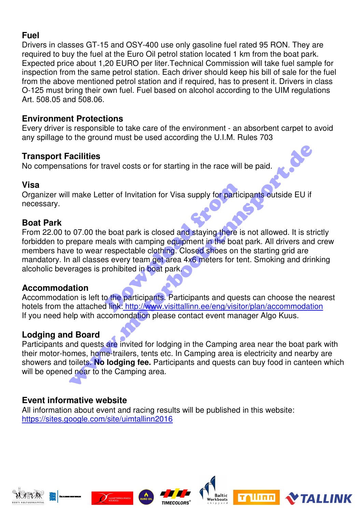#### **Fuel**

Drivers in classes GT-15 and OSY-400 use only gasoline fuel rated 95 RON. They are required to buy the fuel at the Euro Oil petrol station located 1 km from the boat park. Expected price about 1,20 EURO per liter.Technical Commission will take fuel sample for inspection from the same petrol station. Each driver should keep his bill of sale for the fuel from the above mentioned petrol station and if required, has to present it. Drivers in class O-125 must bring their own fuel. Fuel based on alcohol according to the UIM regulations Art. 508.05 and 508.06.

#### **Environment Protections**

Every driver is responsible to take care of the environment - an absorbent carpet to avoid any spillage to the ground must be used according the U.I.M. Rules 703

# **Transport Facilities**

No compensations for travel costs or for starting in the race will be paid.

#### **Visa**

Organizer will make Letter of Invitation for Visa supply for participants outside EU if necessary.

#### **Boat Park**

From 22.00 to 07.00 the boat park is closed and staying there is not allowed. It is strictly forbidden to prepare meals with camping equipment in the boat park. All drivers and crew members have to wear respectable clothing. Closed shoes on the starting grid are mandatory. In all classes every team get area 4x6 meters for tent. Smoking and drinking alcoholic beverages is prohibited in boat park. ter of Invitation for Visa supply for partic<br>
Perfection for Visa supply for partic<br>
Perfection and staying there is<br>
Perfection can be also with camping equipment in the boat<br>
respectable clothing. Closed shoes on the<br>
se **CONTABOT SET ANTIFY CONTROLL CONTROLL CONTROLL CONTROLL CONTROLL CONTROLL CONTROLL CONTROLL CONTROLL CONTROLL CONTROLL CONTROLL CONTROLL CONTROLL CONTROLL CONTROLL CONTROLL CONTROLL CONTROLL CONTROLL CONTROLL CONTROLL CON** 

# **Accommodation**

Accommodation is left to the participants. Participants and quests can choose the nearest hotels from the attached link: http://www.visittallinn.ee/eng/visitor/plan/accommodation If you need help with accomondation please contact event manager Algo Kuus.

# **Lodging and Board**

Participants and quests are invited for lodging in the Camping area near the boat park with their motor-homes, home-trailers, tents etc. In Camping area is electricity and nearby are showers and toilets. **No lodging fee.** Participants and quests can buy food in canteen which will be opened near to the Camping area.

# **Event informative website**

All information about event and racing results will be published in this website: https://sites.google.com/site/uimtallinn2016









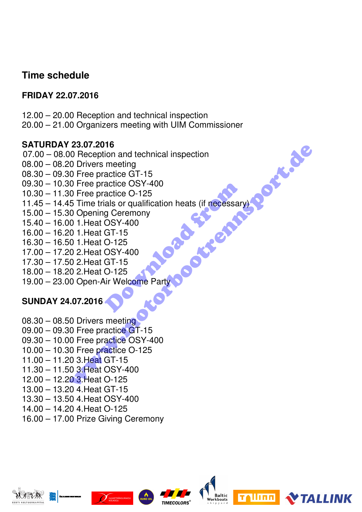# **Time schedule**

# **FRIDAY 22.07.2016**

- 12.00 20.00 Reception and technical inspection
- 20.00 21.00 Organizers meeting with UIM Commissioner

#### **SATURDAY 23.07.2016**

- 07.00 08.00 Reception and technical inspection
- 08.00 08.20 Drivers meeting
- 08.30 09.30 Free practice GT-15
- 09.30 10.30 Free practice OSY-400
- 10.30 11.30 Free practice O-125
- 11.45 14.45 Time trials or qualification heats (if necessary) actice OSY-400<br>actice O-125<br>als or qualification heats (if necessary<br>g Ceremony<br>OSY-400<br>GT-15<br>O-125<br>OSY-400<br>GT-15<br>O-125<br>ir Welcome Party 23.07.2016<br>
26.07.2016<br>
O Reception and technical inspection<br>
0 Drivers meeting<br>
0 Tree practice OSY-400<br>
0 The practice OSY-400<br>
0 Opening Ceremony<br>
0 1.Heat OSY-400<br>
0 1.Heat OSY-400<br>
0 2.Heat GT-15<br>
0 2.Heat GT-15<br>
0 Op
- 15.00 15.30 Opening Ceremony
- 15.40 16.00 1.Heat OSY-400
- 16.00 16.20 1.Heat GT-15
- 16.30 16.50 1.Heat O-125
- 17.00 17.20 2.Heat OSY-400
- 17.30 17.50 2.Heat GT-15
- 18.00 18.20 2.Heat O-125
- 19.00 23.00 Open-Air Welcome Party

# **SUNDAY 24.07.2016**

- 08.30 08.50 Drivers meeting
- 09.00 09.30 Free practice GT-15
- 09.30 10.00 Free practice OSY-400
- 10.00 10.30 Free practice O-125
- 11.00 11.20 3.Heat GT-15
- 11.30 11.50 3.Heat OSY-400
- 12.00 12.20 3.Heat O-125
- 13.00 13.20 4.Heat GT-15
- 13.30 13.50 4.Heat OSY-400
- 14.00 14.20 4.Heat O-125
- 16.00 17.00 Prize Giving Ceremony

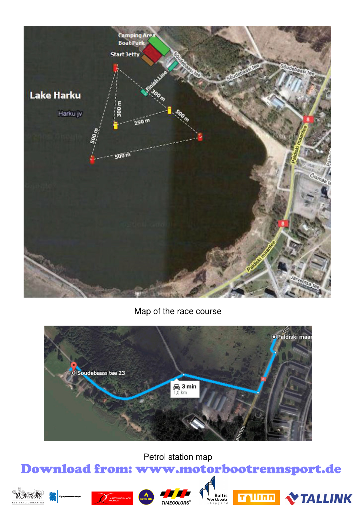

Map of the race course



Petrol station map

# Download from: www.motorbootrennsport.de